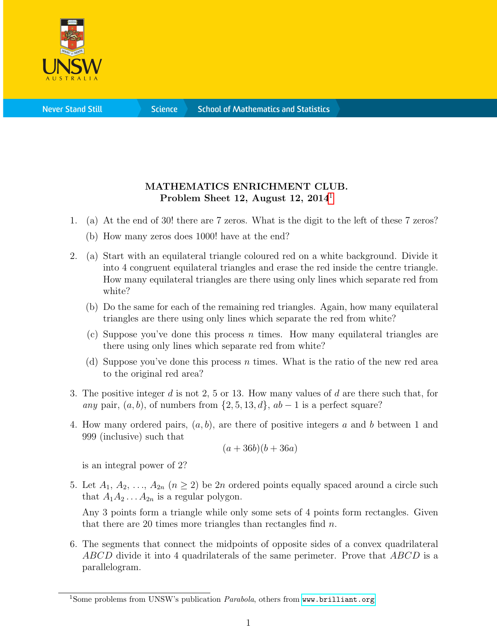

**Science** 

## MATHEMATICS ENRICHMENT CLUB. Problem Sheet [1](#page-0-0)2, August 12, 2014<sup>1</sup>

- 1. (a) At the end of 30! there are 7 zeros. What is the digit to the left of these 7 zeros?
	- (b) How many zeros does 1000! have at the end?
- 2. (a) Start with an equilateral triangle coloured red on a white background. Divide it into 4 congruent equilateral triangles and erase the red inside the centre triangle. How many equilateral triangles are there using only lines which separate red from white?
	- (b) Do the same for each of the remaining red triangles. Again, how many equilateral triangles are there using only lines which separate the red from white?
	- (c) Suppose you've done this process  $n$  times. How many equilateral triangles are there using only lines which separate red from white?
	- (d) Suppose you've done this process n times. What is the ratio of the new red area to the original red area?
- 3. The positive integer d is not 2, 5 or 13. How many values of d are there such that, for any pair,  $(a, b)$ , of numbers from  $\{2, 5, 13, d\}$ ,  $ab - 1$  is a perfect square?
- 4. How many ordered pairs,  $(a, b)$ , are there of positive integers a and b between 1 and 999 (inclusive) such that

$$
(a+36b)(b+36a)
$$

is an integral power of 2?

5. Let  $A_1, A_2, \ldots, A_{2n}$   $(n \geq 2)$  be  $2n$  ordered points equally spaced around a circle such that  $A_1A_2 \ldots A_{2n}$  is a regular polygon.

Any 3 points form a triangle while only some sets of 4 points form rectangles. Given that there are 20 times more triangles than rectangles find  $n$ .

6. The segments that connect the midpoints of opposite sides of a convex quadrilateral ABCD divide it into 4 quadrilaterals of the same perimeter. Prove that ABCD is a parallelogram.

<span id="page-0-0"></span><sup>&</sup>lt;sup>1</sup>Some problems from UNSW's publication *Parabola*, others from <www.brilliant.org>